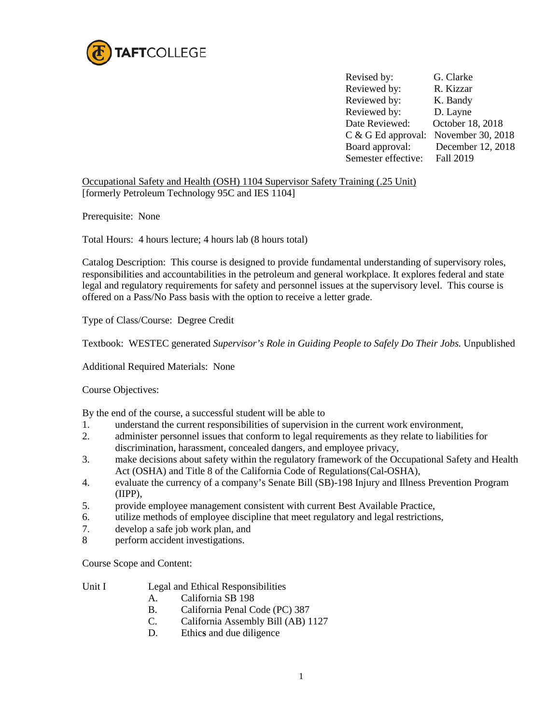

Revised by: G. Clarke Reviewed by: R. Kizzar Reviewed by: K. Bandy Reviewed by: D. Layne Date Reviewed: October 18, 2018 C & G Ed approval: November 30, 2018 Board approval: December 12, 2018 Semester effective: Fall 2019

Occupational Safety and Health (OSH) 1104 Supervisor Safety Training (.25 Unit) [formerly Petroleum Technology 95C and IES 1104]

Prerequisite: None

Total Hours: 4 hours lecture; 4 hours lab (8 hours total)

Catalog Description: This course is designed to provide fundamental understanding of supervisory roles, responsibilities and accountabilities in the petroleum and general workplace. It explores federal and state legal and regulatory requirements for safety and personnel issues at the supervisory level. This course is offered on a Pass/No Pass basis with the option to receive a letter grade.

Type of Class/Course: Degree Credit

Textbook: WESTEC generated *Supervisor's Role in Guiding People to Safely Do Their Jobs.* Unpublished

Additional Required Materials: None

Course Objectives:

By the end of the course, a successful student will be able to

- 1. understand the current responsibilities of supervision in the current work environment,
- 2. administer personnel issues that conform to legal requirements as they relate to liabilities for discrimination, harassment, concealed dangers, and employee privacy,
- 3. make decisions about safety within the regulatory framework of the Occupational Safety and Health Act (OSHA) and Title 8 of the California Code of Regulations(Cal-OSHA),
- 4. evaluate the currency of a company's Senate Bill (SB)-198 Injury and Illness Prevention Program (IIPP),
- 5. provide employee management consistent with current Best Available Practice,
- 6. utilize methods of employee discipline that meet regulatory and legal restrictions,
- 7. develop a safe job work plan, and
- 8 perform accident investigations.

Course Scope and Content:

- Unit I Legal and Ethical Responsibilities
	- A. California SB 198
	- B. California Penal Code (PC) 387
	- C. California Assembly Bill (AB) 1127
	- D. Ethic**s** and due diligence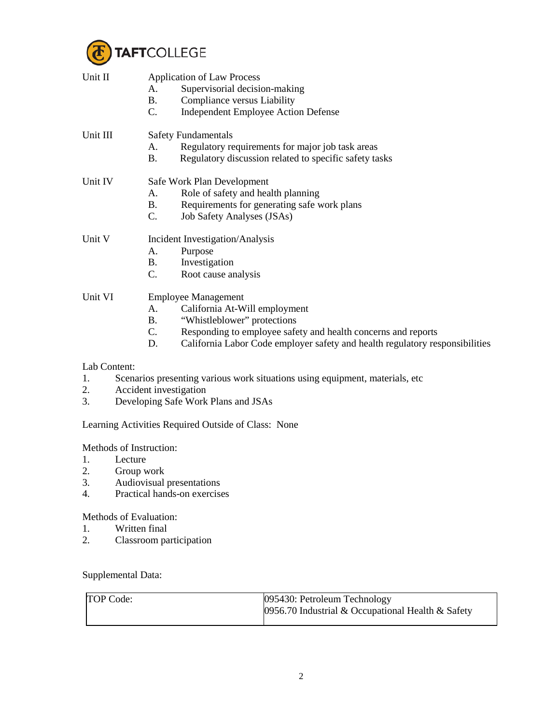

| Unit II  | <b>Application of Law Process</b><br>Supervisorial decision-making<br>A.<br>Compliance versus Liability<br><b>B.</b><br>C.<br><b>Independent Employee Action Defense</b> |  |  |
|----------|--------------------------------------------------------------------------------------------------------------------------------------------------------------------------|--|--|
| Unit III | <b>Safety Fundamentals</b>                                                                                                                                               |  |  |
|          | Regulatory requirements for major job task areas<br>A.                                                                                                                   |  |  |
|          | Regulatory discussion related to specific safety tasks<br>B.                                                                                                             |  |  |
| Unit IV  | Safe Work Plan Development                                                                                                                                               |  |  |
|          | Role of safety and health planning<br>$A_{-}$                                                                                                                            |  |  |
|          | Requirements for generating safe work plans<br><b>B.</b>                                                                                                                 |  |  |
|          | C.<br>Job Safety Analyses (JSAs)                                                                                                                                         |  |  |
| Unit V   | Incident Investigation/Analysis                                                                                                                                          |  |  |
|          | Purpose<br>A.                                                                                                                                                            |  |  |
|          | Investigation<br><b>B.</b>                                                                                                                                               |  |  |
|          | C.<br>Root cause analysis                                                                                                                                                |  |  |
| Unit VI  | <b>Employee Management</b>                                                                                                                                               |  |  |
|          | California At-Will employment<br>А.                                                                                                                                      |  |  |
|          | "Whistleblower" protections<br>В.                                                                                                                                        |  |  |
|          |                                                                                                                                                                          |  |  |

- C. Responding to employee safety and health concerns and reports<br>D. California Labor Code employer safety and health regulatory res
- California Labor Code employer safety and health regulatory responsibilities

## Lab Content:

- 1. Scenarios presenting various work situations using equipment, materials, etc
- 2. Accident investigation
- 3. Developing Safe Work Plans and JSAs

Learning Activities Required Outside of Class: None

Methods of Instruction:

- 1. Lecture
- 2. Group work
- 3. Audiovisual presentations<br>4. Practical hands-on exercise
- Practical hands-on exercises

Methods of Evaluation:

- 1. Written final<br>2. Classroom pa
- 2. Classroom participation

Supplemental Data:

|  | TOP Code: | 095430: Petroleum Technology<br>0956.70 Industrial & Occupational Health $\&$ Safety |
|--|-----------|--------------------------------------------------------------------------------------|
|--|-----------|--------------------------------------------------------------------------------------|